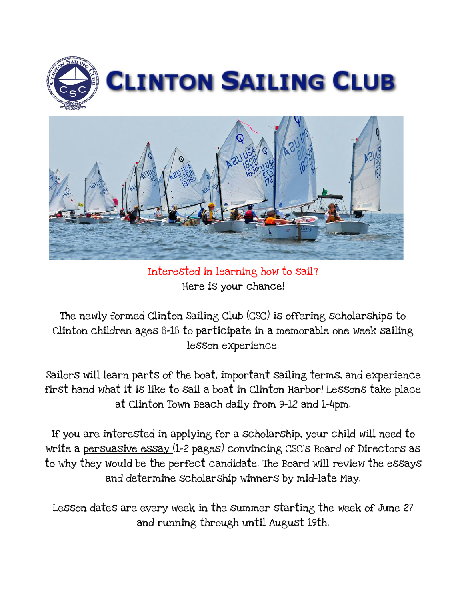



Interested in learning how to sail? Here is your chance!

The newly formed Clinton Sailing Club (CSC) is offering scholarships to Clinton children ages 8-18 to participate in a memorable one week sailing lesson experience.

Sailors will learn parts of the boat, important sailing terms, and experience first hand what it is like to sail a boat in Clinton Harbor! Lessons take place at Clinton Town Beach daily from 9-12 and 1-4pm.

If you are interested in applying for a scholarship, your child will need to write a persuasive essay (1-2 pages) convincing CSC's Board of Directors as to why they would be the perfect candidate. The Board will review the essays and determine scholarship winners by mid-late May.

Lesson dates are every week in the summer starting the week of June 27 and running through until August 19th.